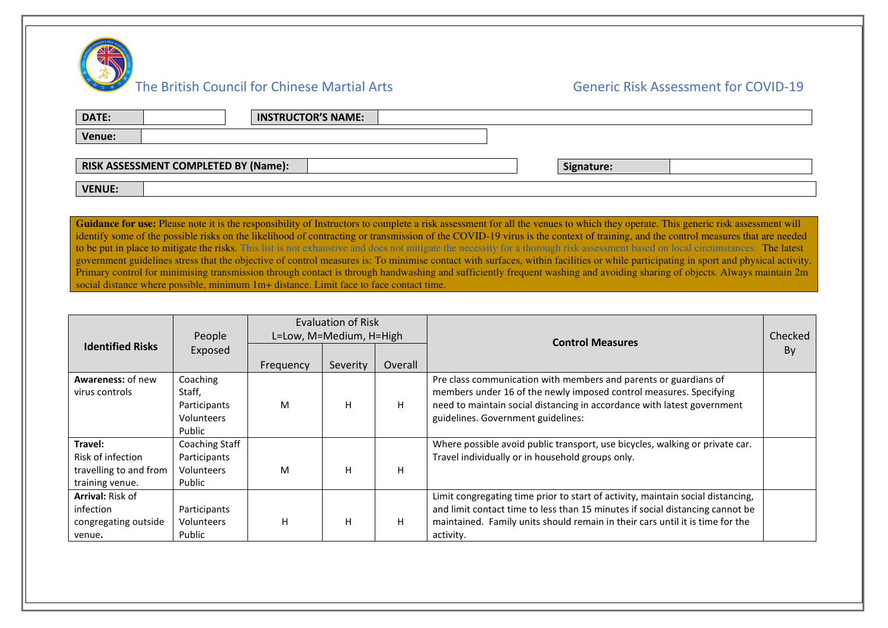

| DATE:<br><b>INSTRUCTOR'S NAME:</b>          |            |
|---------------------------------------------|------------|
| Venue:                                      |            |
| <b>RISK ASSESSMENT COMPLETED BY (Name):</b> | Signature: |
| <b>VENUE:</b>                               |            |

Guidance for use: Please note it is the responsibility of Instructors to complete a risk assessment for all the venues to which they operate. This generic risk assessment will identify some of the possible risks on the likelihood of contracting or transmission of the COVID-19 virus is the context of training, and the control measures that are needed to be put in place to mitigate the risks. This list is not exhaustive and does not mitigate the necessity for a thorough risk assessment based on local circumstances. The latest government guidelines stress that the objective of control measures is: To minimise contact with surfaces, within facilities or while participating in sport and physical activity. Primary control for minimising transmission through contact is through handwashing and sufficiently frequent washing and avoiding sharing of objects. Always maintain 2m social distance where possible, minimum 1m+ distance. Limit face to face contact time.

|                          |                       | Evaluation of Risk      |          |         | <b>Control Measures</b>                                                         |         |
|--------------------------|-----------------------|-------------------------|----------|---------|---------------------------------------------------------------------------------|---------|
|                          | People                | L=Low, M=Medium, H=High |          |         |                                                                                 | Checked |
| <b>Identified Risks</b>  | Exposed               |                         |          |         |                                                                                 | By      |
|                          |                       | Frequency               | Severity | Overall |                                                                                 |         |
| <b>Awareness: of new</b> | Coaching              |                         |          |         | Pre class communication with members and parents or guardians of                |         |
| virus controls           | Staff,                |                         |          |         | members under 16 of the newly imposed control measures. Specifying              |         |
|                          | Participants          | M                       | н        | H       | need to maintain social distancing in accordance with latest government         |         |
|                          | Volunteers            |                         |          |         | guidelines. Government guidelines:                                              |         |
|                          | Public                |                         |          |         |                                                                                 |         |
| Travel:                  | <b>Coaching Staff</b> |                         |          |         | Where possible avoid public transport, use bicycles, walking or private car.    |         |
| Risk of infection        | Participants          |                         |          |         | Travel individually or in household groups only.                                |         |
| travelling to and from   | Volunteers            | M                       | н        | н       |                                                                                 |         |
| training venue.          | Public                |                         |          |         |                                                                                 |         |
| <b>Arrival: Risk of</b>  |                       |                         |          |         | Limit congregating time prior to start of activity, maintain social distancing, |         |
| infection                | Participants          |                         |          |         | and limit contact time to less than 15 minutes if social distancing cannot be   |         |
| congregating outside     | Volunteers            | H                       | н        | H       | maintained. Family units should remain in their cars until it is time for the   |         |
| venue.                   | Public                |                         |          |         | activity.                                                                       |         |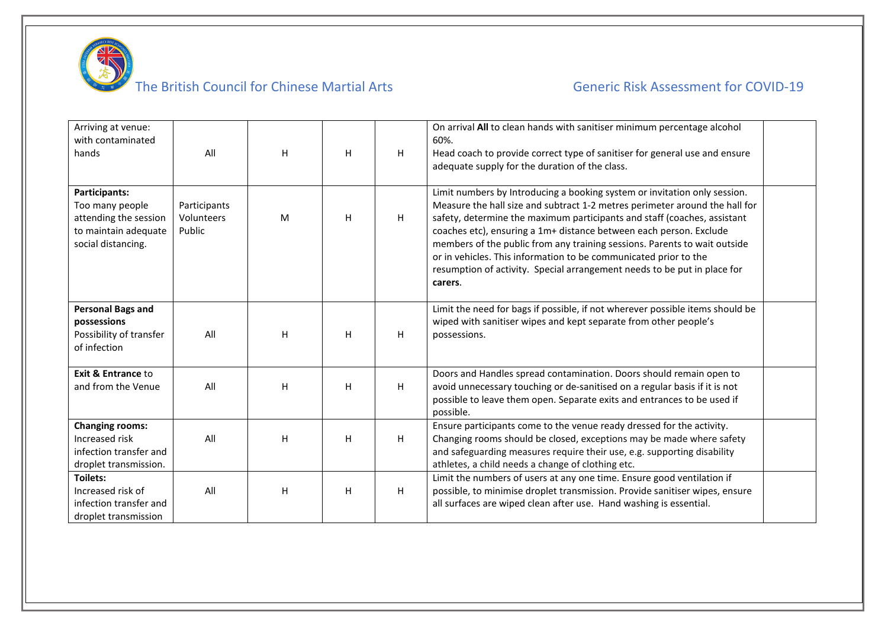

# The British Council for Chinese Martial Arts  $\overline{a}$  Generic Risk Assessment for COVID-19

| Arriving at venue:<br>with contaminated<br>hands                                                               | All                                  | H | H | H  | On arrival All to clean hands with sanitiser minimum percentage alcohol<br>60%.<br>Head coach to provide correct type of sanitiser for general use and ensure<br>adequate supply for the duration of the class.                                                                                                                                                                                                                                                                                                                                    |  |
|----------------------------------------------------------------------------------------------------------------|--------------------------------------|---|---|----|----------------------------------------------------------------------------------------------------------------------------------------------------------------------------------------------------------------------------------------------------------------------------------------------------------------------------------------------------------------------------------------------------------------------------------------------------------------------------------------------------------------------------------------------------|--|
| <b>Participants:</b><br>Too many people<br>attending the session<br>to maintain adequate<br>social distancing. | Participants<br>Volunteers<br>Public | M | H | H  | Limit numbers by Introducing a booking system or invitation only session.<br>Measure the hall size and subtract 1-2 metres perimeter around the hall for<br>safety, determine the maximum participants and staff (coaches, assistant<br>coaches etc), ensuring a 1m+ distance between each person. Exclude<br>members of the public from any training sessions. Parents to wait outside<br>or in vehicles. This information to be communicated prior to the<br>resumption of activity. Special arrangement needs to be put in place for<br>carers. |  |
| <b>Personal Bags and</b><br>possessions<br>Possibility of transfer<br>of infection                             | All                                  | H | H | H  | Limit the need for bags if possible, if not wherever possible items should be<br>wiped with sanitiser wipes and kept separate from other people's<br>possessions.                                                                                                                                                                                                                                                                                                                                                                                  |  |
| <b>Exit &amp; Entrance to</b><br>and from the Venue                                                            | All                                  | H | H | H. | Doors and Handles spread contamination. Doors should remain open to<br>avoid unnecessary touching or de-sanitised on a regular basis if it is not<br>possible to leave them open. Separate exits and entrances to be used if<br>possible.                                                                                                                                                                                                                                                                                                          |  |
| <b>Changing rooms:</b><br>Increased risk<br>infection transfer and<br>droplet transmission.                    | All                                  | H | H | H  | Ensure participants come to the venue ready dressed for the activity.<br>Changing rooms should be closed, exceptions may be made where safety<br>and safeguarding measures require their use, e.g. supporting disability<br>athletes, a child needs a change of clothing etc.                                                                                                                                                                                                                                                                      |  |
| <b>Toilets:</b><br>Increased risk of<br>infection transfer and<br>droplet transmission                         | All                                  | H | H | H. | Limit the numbers of users at any one time. Ensure good ventilation if<br>possible, to minimise droplet transmission. Provide sanitiser wipes, ensure<br>all surfaces are wiped clean after use. Hand washing is essential.                                                                                                                                                                                                                                                                                                                        |  |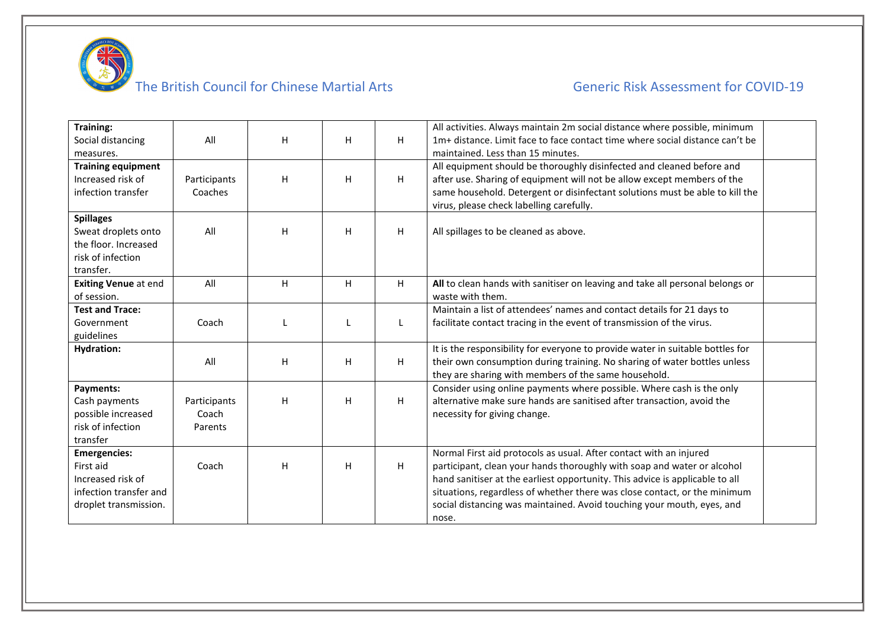

# The British Council for Chinese Martial Arts  $\overline{a}$  Generic Risk Assessment for COVID-19

| <b>Training:</b>               |              |   |    |   | All activities. Always maintain 2m social distance where possible, minimum                                        |  |
|--------------------------------|--------------|---|----|---|-------------------------------------------------------------------------------------------------------------------|--|
| Social distancing<br>measures. | All          | H | H. | H | 1m+ distance. Limit face to face contact time where social distance can't be<br>maintained. Less than 15 minutes. |  |
| <b>Training equipment</b>      |              |   |    |   | All equipment should be thoroughly disinfected and cleaned before and                                             |  |
| Increased risk of              | Participants | H | H. | H | after use. Sharing of equipment will not be allow except members of the                                           |  |
| infection transfer             | Coaches      |   |    |   | same household. Detergent or disinfectant solutions must be able to kill the                                      |  |
|                                |              |   |    |   | virus, please check labelling carefully.                                                                          |  |
| <b>Spillages</b>               |              |   |    |   |                                                                                                                   |  |
| Sweat droplets onto            | All          | H | H  | H | All spillages to be cleaned as above.                                                                             |  |
| the floor. Increased           |              |   |    |   |                                                                                                                   |  |
| risk of infection              |              |   |    |   |                                                                                                                   |  |
| transfer.                      |              |   |    |   |                                                                                                                   |  |
| <b>Exiting Venue at end</b>    | All          | H | H. | H | All to clean hands with sanitiser on leaving and take all personal belongs or                                     |  |
| of session.                    |              |   |    |   | waste with them.                                                                                                  |  |
| <b>Test and Trace:</b>         |              |   |    |   | Maintain a list of attendees' names and contact details for 21 days to                                            |  |
| Government                     | Coach        |   |    |   | facilitate contact tracing in the event of transmission of the virus.                                             |  |
| guidelines                     |              |   |    |   |                                                                                                                   |  |
| <b>Hydration:</b>              |              |   |    |   | It is the responsibility for everyone to provide water in suitable bottles for                                    |  |
|                                | All          | H | H. | H | their own consumption during training. No sharing of water bottles unless                                         |  |
|                                |              |   |    |   | they are sharing with members of the same household.                                                              |  |
| Payments:                      |              |   |    |   | Consider using online payments where possible. Where cash is the only                                             |  |
| Cash payments                  | Participants | н | H  | H | alternative make sure hands are sanitised after transaction, avoid the                                            |  |
| possible increased             | Coach        |   |    |   | necessity for giving change.                                                                                      |  |
| risk of infection              | Parents      |   |    |   |                                                                                                                   |  |
| transfer                       |              |   |    |   |                                                                                                                   |  |
| <b>Emergencies:</b>            |              |   |    |   | Normal First aid protocols as usual. After contact with an injured                                                |  |
| First aid                      | Coach        | H | H  | H | participant, clean your hands thoroughly with soap and water or alcohol                                           |  |
| Increased risk of              |              |   |    |   | hand sanitiser at the earliest opportunity. This advice is applicable to all                                      |  |
| infection transfer and         |              |   |    |   | situations, regardless of whether there was close contact, or the minimum                                         |  |
| droplet transmission.          |              |   |    |   | social distancing was maintained. Avoid touching your mouth, eyes, and                                            |  |
|                                |              |   |    |   | nose.                                                                                                             |  |